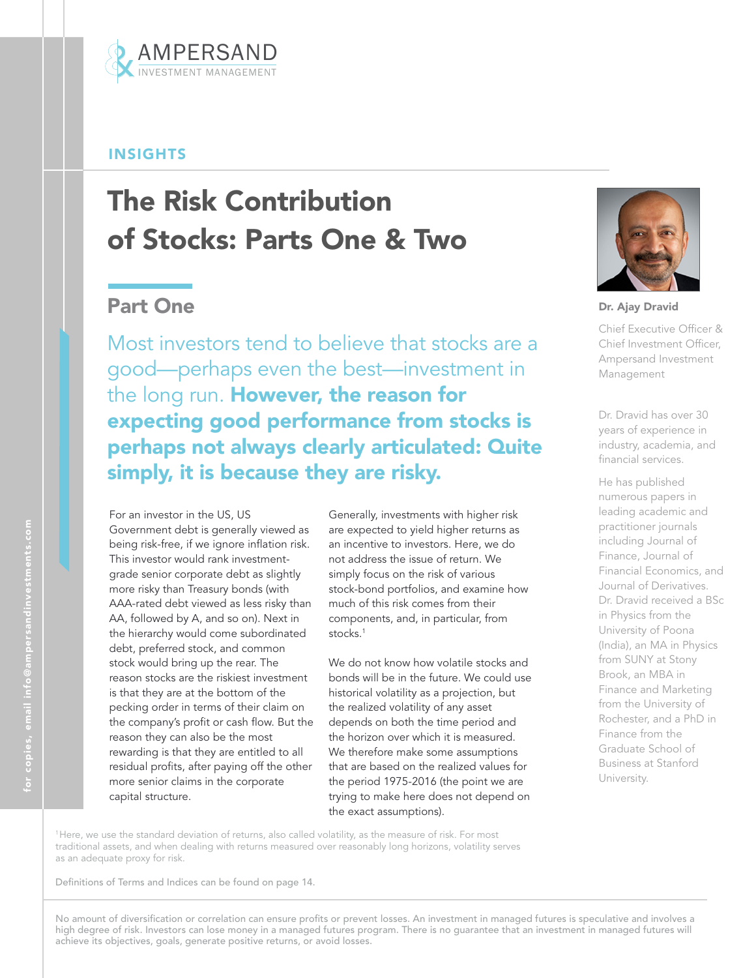

## INSIGHTS

# The Risk Contribution of Stocks: Parts One & Two

# Part One

Most investors tend to believe that stocks are a good—perhaps even the best—investment in the long run. However, the reason for expecting good performance from stocks is perhaps not always clearly articulated: Quite simply, it is because they are risky.

For an investor in the US, US Government debt is generally viewed as being risk-free, if we ignore inflation risk. This investor would rank investmentgrade senior corporate debt as slightly more risky than Treasury bonds (with AAA-rated debt viewed as less risky than AA, followed by A, and so on). Next in the hierarchy would come subordinated debt, preferred stock, and common stock would bring up the rear. The reason stocks are the riskiest investment is that they are at the bottom of the pecking order in terms of their claim on the company's profit or cash flow. But the reason they can also be the most rewarding is that they are entitled to all residual profits, after paying off the other more senior claims in the corporate capital structure.

Generally, investments with higher risk are expected to yield higher returns as an incentive to investors. Here, we do not address the issue of return. We simply focus on the risk of various stock-bond portfolios, and examine how much of this risk comes from their components, and, in particular, from stocks.<sup>1</sup>

We do not know how volatile stocks and bonds will be in the future. We could use historical volatility as a projection, but the realized volatility of any asset depends on both the time period and the horizon over which it is measured. We therefore make some assumptions that are based on the realized values for the period 1975-2016 (the point we are trying to make here does not depend on the exact assumptions).



Dr. Ajay Dravid

Chief Executive Officer & Chief Investment Officer, Ampersand Investment Management

Dr. Dravid has over 30 years of experience in industry, academia, and financial services.

He has published numerous papers in leading academic and practitioner journals including Journal of Finance, Journal of Financial Economics, and Journal of Derivatives. Dr. Dravid received a BSc in Physics from the University of Poona (India), an MA in Physics from SUNY at Stony Brook, an MBA in Finance and Marketing from the University of Rochester, and a PhD in Finance from the Graduate School of Business at Stanford University.

<sup>1</sup>Here, we use the standard deviation of returns, also called volatility, as the measure of risk. For most traditional assets, and when dealing with returns measured over reasonably long horizons, volatility serves as an adequate proxy for risk.

Definitions of Terms and Indices can be found on page 14.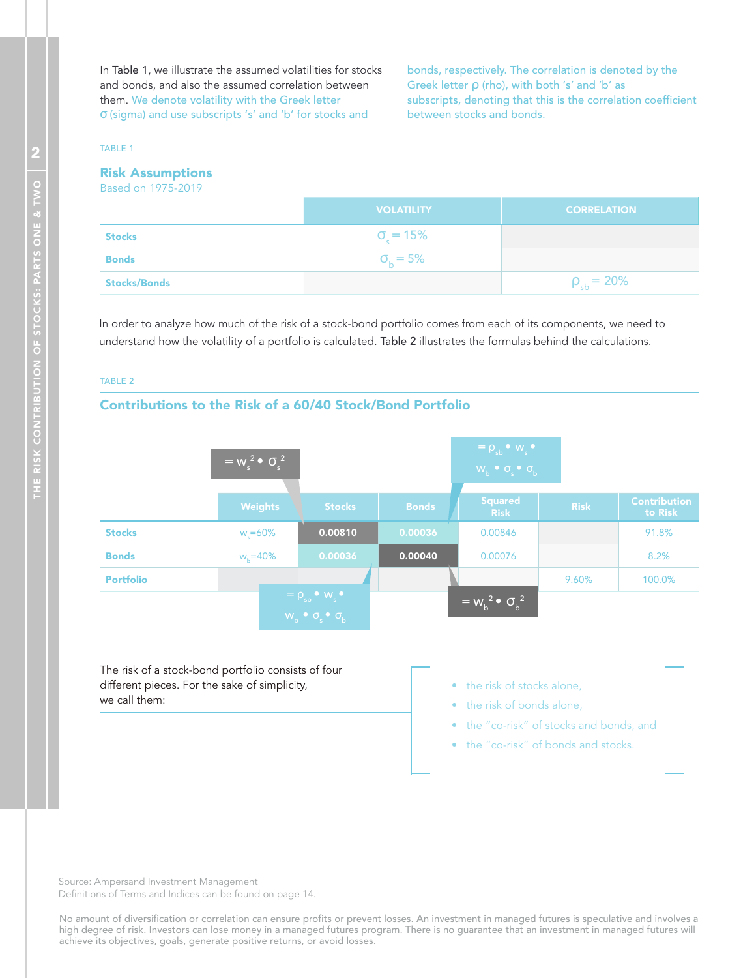In Table 1, we illustrate the assumed volatilities for stocks and bonds, and also the assumed correlation between them. We denote volatility with the Greek letter σ (sigma) and use subscripts 's' and 'b' for stocks and

bonds, respectively. The correlation is denoted by the Greek letter ρ (rho), with both 's' and 'b' as subscripts, denoting that this is the correlation coefficient between stocks and bonds.

#### TABLE 1

| <b>Risk Assumptions</b><br>Based on 1975-2019 |                         |                    |
|-----------------------------------------------|-------------------------|--------------------|
|                                               | <b>VOLATILITY</b>       | <b>CORRELATION</b> |
| <b>Stocks</b>                                 | $\sigma_{\rm c} = 15\%$ |                    |
| <b>Bonds</b>                                  | $\sigma_{h} = 5\%$      |                    |
| <b>Stocks/Bonds</b>                           |                         | $\rho_{sb} = 20\%$ |

In order to analyze how much of the risk of a stock-bond portfolio comes from each of its components, we need to understand how the volatility of a portfolio is calculated. Table 2 illustrates the formulas behind the calculations.

#### TABLE 2

#### Contributions to the Risk of a 60/40 Stock/Bond Portfolio

|                  | $\overline{w_s^2 \bullet \sigma_s^2}$ |                                                                                                                              |              | $= \rho_{sb} \cdot w_{s}$<br>$W_b \bullet \sigma_s \bullet \sigma_b$ |             |                                |
|------------------|---------------------------------------|------------------------------------------------------------------------------------------------------------------------------|--------------|----------------------------------------------------------------------|-------------|--------------------------------|
|                  | <b>Weights</b>                        | <b>Stocks</b>                                                                                                                | <b>Bonds</b> | <b>Squared</b><br><b>Risk</b>                                        | <b>Risk</b> | <b>Contribution</b><br>to Risk |
| <b>Stocks</b>    | $w_s = 60\%$                          | 0.00810                                                                                                                      | 0.00036      | 0.00846                                                              |             | 91.8%                          |
| <b>Bonds</b>     | $w_h = 40\%$                          | 0.00036                                                                                                                      | 0.00040      | 0.00076                                                              |             | 8.2%                           |
| <b>Portfolio</b> |                                       |                                                                                                                              |              |                                                                      | 9.60%       | 100.0%                         |
|                  |                                       | $\overline{\rho} = \rho_{\rm sb} \cdot w_{\rm s} \cdot$<br>$W_{\rm b}$ $\bullet$ $\sigma_{\rm s}$ $\bullet$ $\sigma_{\rm b}$ |              | $\overline{w_b^2 \bullet \sigma_b^2}$                                |             |                                |

The risk of a stock-bond portfolio consists of four different pieces. For the sake of simplicity, we call them:

- the risk of stocks alone,
- the risk of bonds alone,
- the "co-risk" of stocks and bonds, and
- the "co-risk" of bonds and stocks.

Source: Ampersand Investment Management Definitions of Terms and Indices can be found on page 14.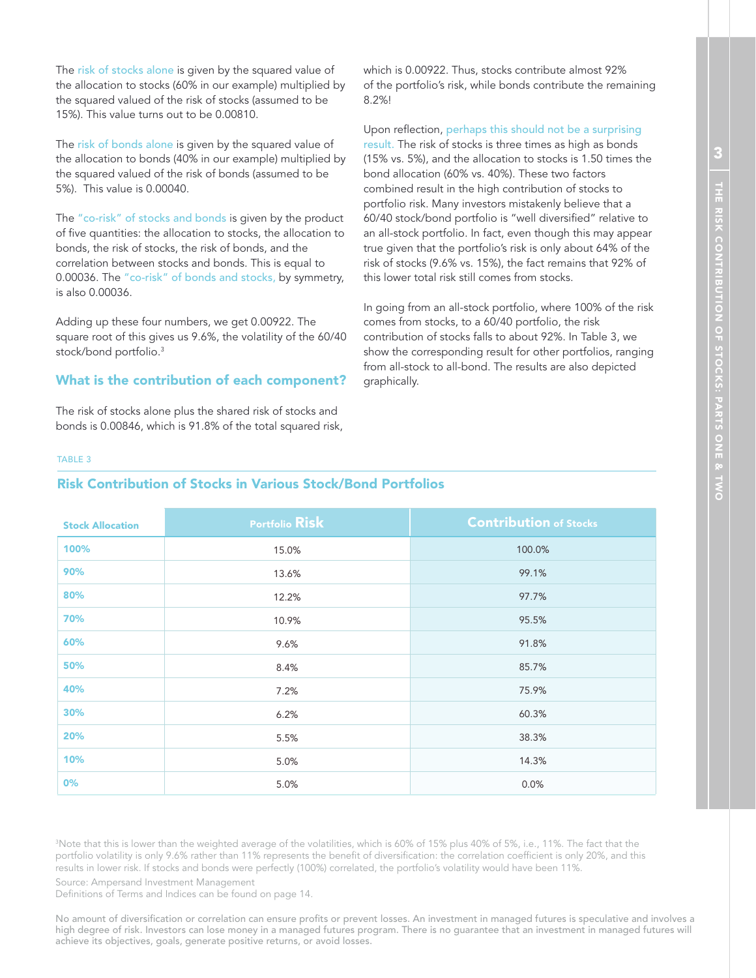The risk of stocks alone is given by the squared value of the allocation to stocks (60% in our example) multiplied by the squared valued of the risk of stocks (assumed to be 15%). This value turns out to be 0.00810.

The risk of bonds alone is given by the squared value of the allocation to bonds (40% in our example) multiplied by the squared valued of the risk of bonds (assumed to be 5%). This value is 0.00040.

The "co-risk" of stocks and bonds is given by the product of five quantities: the allocation to stocks, the allocation to bonds, the risk of stocks, the risk of bonds, and the correlation between stocks and bonds. This is equal to 0.00036. The "co-risk" of bonds and stocks, by symmetry, is also 0.00036.

Adding up these four numbers, we get 0.00922. The square root of this gives us 9.6%, the volatility of the 60/40 stock/bond portfolio.<sup>3</sup>

#### What is the contribution of each component?

The risk of stocks alone plus the shared risk of stocks and bonds is 0.00846, which is 91.8% of the total squared risk, which is 0.00922. Thus, stocks contribute almost 92% of the portfolio's risk, while bonds contribute the remaining 8.2%!

Upon reflection, perhaps this should not be a surprising result. The risk of stocks is three times as high as bonds (15% vs. 5%), and the allocation to stocks is 1.50 times the bond allocation (60% vs. 40%). These two factors combined result in the high contribution of stocks to portfolio risk. Many investors mistakenly believe that a 60/40 stock/bond portfolio is "well diversified" relative to an all-stock portfolio. In fact, even though this may appear true given that the portfolio's risk is only about 64% of the risk of stocks (9.6% vs. 15%), the fact remains that 92% of this lower total risk still comes from stocks.

In going from an all-stock portfolio, where 100% of the risk comes from stocks, to a 60/40 portfolio, the risk contribution of stocks falls to about 92%. In Table 3, we show the corresponding result for other portfolios, ranging from all-stock to all-bond. The results are also depicted graphically.

#### TABLE 3

#### Risk Contribution of Stocks in Various Stock/Bond Portfolios

| <b>Stock Allocation</b> | <b>Portfolio Risk</b> | <b>Contribution of Stocks</b> |
|-------------------------|-----------------------|-------------------------------|
| 100%                    | 15.0%                 | 100.0%                        |
| 90%                     | 13.6%                 | 99.1%                         |
| 80%                     | 12.2%                 | 97.7%                         |
| 70%                     | 10.9%                 | 95.5%                         |
| 60%                     | 9.6%                  | 91.8%                         |
| 50%                     | 8.4%                  | 85.7%                         |
| 40%                     | 7.2%                  | 75.9%                         |
| 30%                     | 6.2%                  | 60.3%                         |
| 20%                     | 5.5%                  | 38.3%                         |
| 10%                     | 5.0%                  | 14.3%                         |
| 0%                      | 5.0%                  | 0.0%                          |

<sup>3</sup>Note that this is lower than the weighted average of the volatilities, which is 60% of 15% plus 40% of 5%, i.e., 11%. The fact that the portfolio volatility is only 9.6% rather than 11% represents the benefit of diversification: the correlation coefficient is only 20%, and this results in lower risk. If stocks and bonds were perfectly (100%) correlated, the portfolio's volatility would have been 11%.

Source: Ampersand Investment Management

Definitions of Terms and Indices can be found on page 14.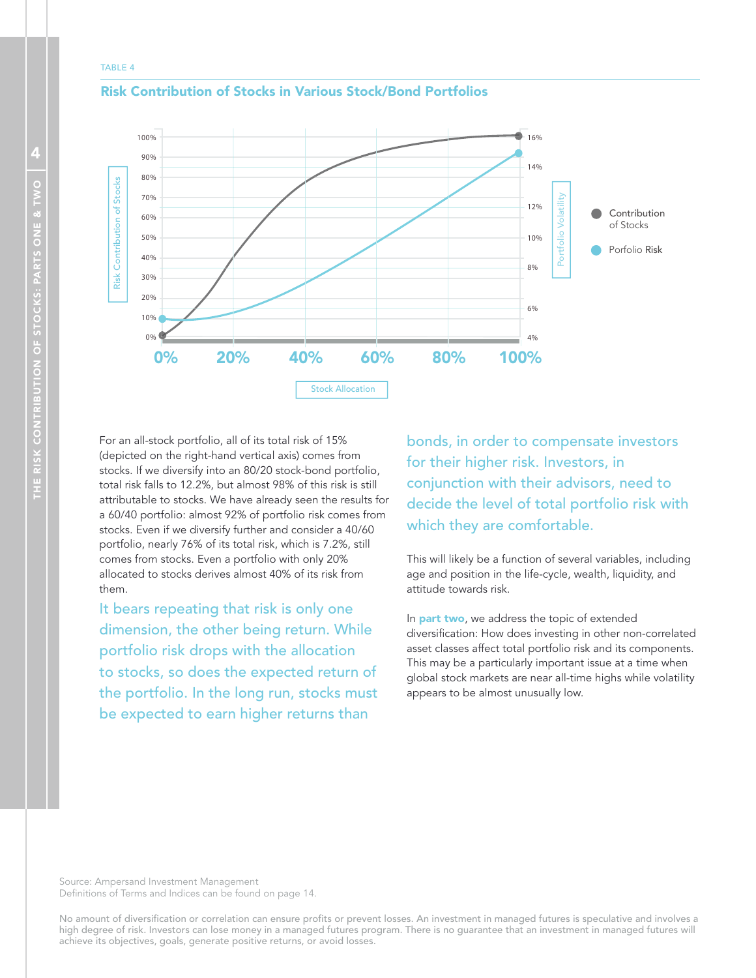#### TABLE 4



#### Risk Contribution of Stocks in Various Stock/Bond Portfolios

For an all-stock portfolio, all of its total risk of 15% (depicted on the right-hand vertical axis) comes from stocks. If we diversify into an 80/20 stock-bond portfolio, total risk falls to 12.2%, but almost 98% of this risk is still attributable to stocks. We have already seen the results for a 60/40 portfolio: almost 92% of portfolio risk comes from stocks. Even if we diversify further and consider a 40/60 portfolio, nearly 76% of its total risk, which is 7.2%, still comes from stocks. Even a portfolio with only 20% allocated to stocks derives almost 40% of its risk from them.

It bears repeating that risk is only one dimension, the other being return. While portfolio risk drops with the allocation to stocks, so does the expected return of the portfolio. In the long run, stocks must be expected to earn higher returns than

bonds, in order to compensate investors for their higher risk. Investors, in conjunction with their advisors, need to decide the level of total portfolio risk with which they are comfortable.

This will likely be a function of several variables, including age and position in the life-cycle, wealth, liquidity, and attitude towards risk.

In **part two**, we address the topic of extended diversification: How does investing in other non-correlated asset classes affect total portfolio risk and its components. This may be a particularly important issue at a time when global stock markets are near all-time highs while volatility appears to be almost unusually low.

Source: Ampersand Investment Management Definitions of Terms and Indices can be found on page 14.

No amount of diversification or correlation can ensure profits or prevent losses. An investment in managed futures is speculative and involves a high degree of risk. Investors can lose money in a managed futures program. There is no guarantee that an investment in managed futures will achieve its objectives, goals, generate positive returns, or avoid losses.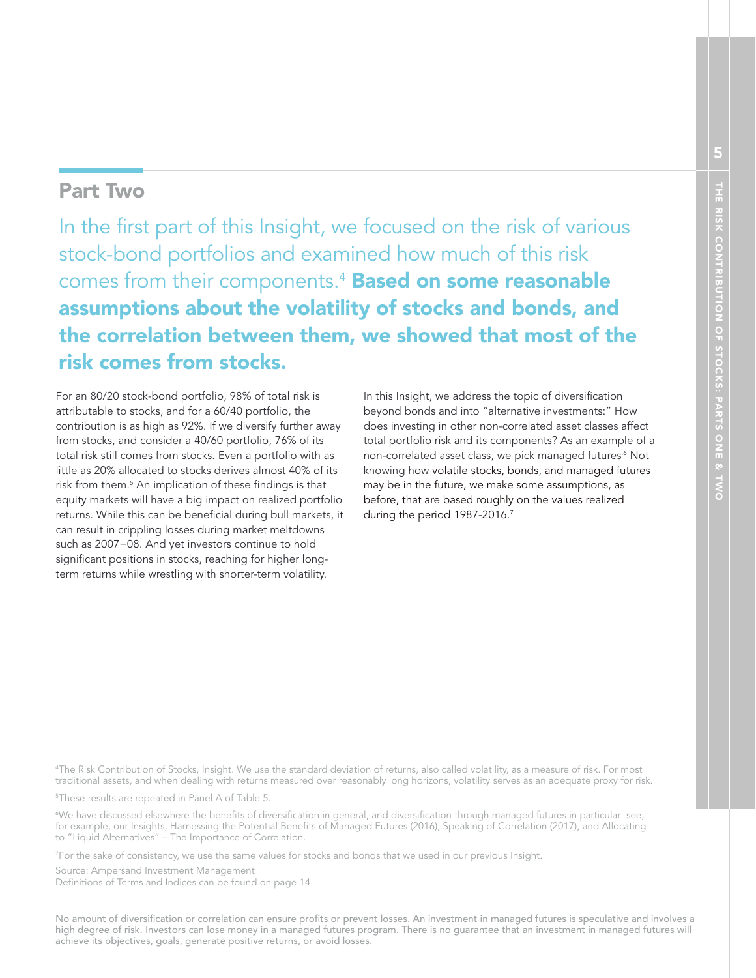# Part Two

In the first part of this Insight, we focused on the risk of various stock-bond portfolios and examined how much of this risk comes from their components.<sup>4</sup> Based on some reasonable assumptions about the volatility of stocks and bonds, and the correlation between them, we showed that most of the risk comes from stocks.

For an 80/20 stock-bond portfolio, 98% of total risk is attributable to stocks, and for a 60/40 portfolio, the contribution is as high as 92%. If we diversify further away from stocks, and consider a 40/60 portfolio, 76% of its total risk still comes from stocks. Even a portfolio with as little as 20% allocated to stocks derives almost 40% of its risk from them.<sup>5</sup> An implication of these findings is that equity markets will have a big impact on realized portfolio returns. While this can be beneficial during bull markets, it can result in crippling losses during market meltdowns such as 2007−08. And yet investors continue to hold significant positions in stocks, reaching for higher longterm returns while wrestling with shorter-term volatility.

In this Insight, we address the topic of diversification beyond bonds and into "alternative investments:" How does investing in other non-correlated asset classes affect total portfolio risk and its components? As an example of a non-correlated asset class, we pick managed futures.<sup>6</sup> Not knowing how volatile stocks, bonds, and managed futures may be in the future, we make some assumptions, as before, that are based roughly on the values realized during the period 1987-2016.<sup>7</sup>

<sup>4</sup>The Risk Contribution of Stocks, Insight. We use the standard deviation of returns, also called volatility, as a measure of risk. For most traditional assets, and when dealing with returns measured over reasonably long horizons, volatility serves as an adequate proxy for risk.

<sup>5</sup>These results are repeated in Panel A of Table 5.

 $^{\circ}$ We have discussed elsewhere the benefits of diversification in general, and diversification through managed futures in particular: see, for example, our Insights, Harnessing the Potential Benefits of Managed Futures (2016), Speaking of Correlation (2017), and Allocating to "Liquid Alternatives" – The Importance of Correlation.

<sup>7</sup>For the sake of consistency, we use the same values for stocks and bonds that we used in our previous Insight.

Source: Ampersand Investment Management

Definitions of Terms and Indices can be found on page 14.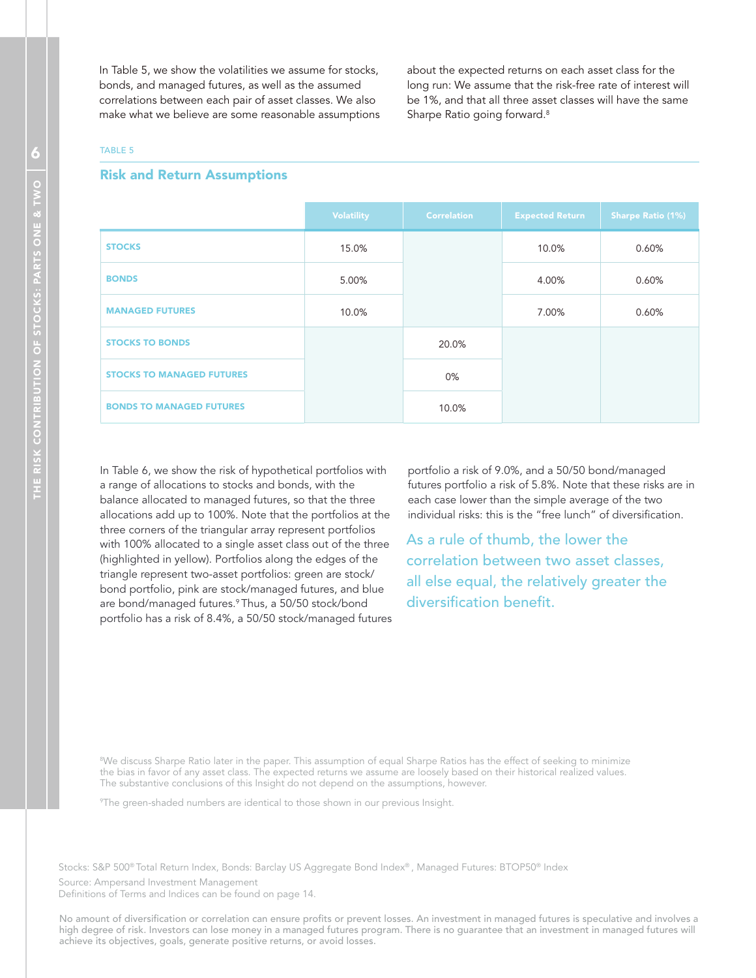In Table 5, we show the volatilities we assume for stocks, bonds, and managed futures, as well as the assumed correlations between each pair of asset classes. We also make what we believe are some reasonable assumptions

about the expected returns on each asset class for the long run: We assume that the risk-free rate of interest will be 1%, and that all three asset classes will have the same Sharpe Ratio going forward.<sup>8</sup>

#### TABLE 5

#### Risk and Return Assumptions

|                                  | <b>Volatility</b> | <b>Correlation</b> | <b>Expected Return</b> | <b>Sharpe Ratio (1%)</b> |
|----------------------------------|-------------------|--------------------|------------------------|--------------------------|
| <b>STOCKS</b>                    | 15.0%             |                    | 10.0%                  | 0.60%                    |
| <b>BONDS</b>                     | 5.00%             |                    | 4.00%                  | 0.60%                    |
| <b>MANAGED FUTURES</b>           | 10.0%             |                    | 7.00%                  | 0.60%                    |
| <b>STOCKS TO BONDS</b>           |                   | 20.0%              |                        |                          |
| <b>STOCKS TO MANAGED FUTURES</b> |                   | $0\%$              |                        |                          |
| <b>BONDS TO MANAGED FUTURES</b>  |                   | 10.0%              |                        |                          |

In Table 6, we show the risk of hypothetical portfolios with a range of allocations to stocks and bonds, with the balance allocated to managed futures, so that the three allocations add up to 100%. Note that the portfolios at the three corners of the triangular array represent portfolios with 100% allocated to a single asset class out of the three (highlighted in yellow). Portfolios along the edges of the triangle represent two-asset portfolios: green are stock/ bond portfolio, pink are stock/managed futures, and blue are bond/managed futures.<sup>9</sup>Thus, a 50/50 stock/bond portfolio has a risk of 8.4%, a 50/50 stock/managed futures portfolio a risk of 9.0%, and a 50/50 bond/managed futures portfolio a risk of 5.8%. Note that these risks are in each case lower than the simple average of the two individual risks: this is the "free lunch" of diversification.

As a rule of thumb, the lower the correlation between two asset classes, all else equal, the relatively greater the diversification benefit.

<sup>8</sup>We discuss Sharpe Ratio later in the paper. This assumption of equal Sharpe Ratios has the effect of seeking to minimize the bias in favor of any asset class. The expected returns we assume are loosely based on their historical realized values. The substantive conclusions of this Insight do not depend on the assumptions, however.

<sup>9</sup>The green-shaded numbers are identical to those shown in our previous Insight.

Stocks: S&P 500® Total Return Index, Bonds: Barclay US Aggregate Bond Index® , Managed Futures: BTOP50® Index

Source: Ampersand Investment Management

Definitions of Terms and Indices can be found on page 14.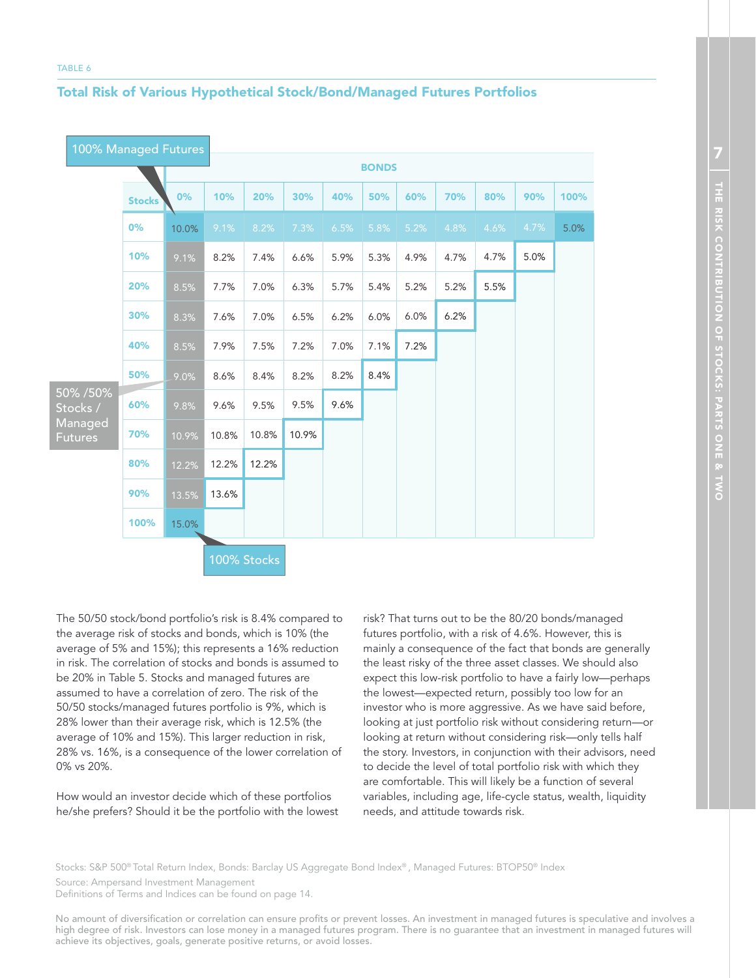#### Total Risk of Various Hypothetical Stock/Bond/Managed Futures Portfolios

| 100% Managed Futures      |               |       |              |             |       |      |      |      |      |      |      |      |  |
|---------------------------|---------------|-------|--------------|-------------|-------|------|------|------|------|------|------|------|--|
|                           |               |       | <b>BONDS</b> |             |       |      |      |      |      |      |      |      |  |
|                           | <b>Stocks</b> | 0%    | 10%          | 20%         | 30%   | 40%  | 50%  | 60%  | 70%  | 80%  | 90%  | 100% |  |
|                           | 0%            | 10.0% | 9.1%         | 8.2%        | 7.3%  | 6.5% | 5.8% | 5.2% | 4.8% | 4.6% | 4.7% | 5.0% |  |
|                           | 10%           | 9.1%  | 8.2%         | 7.4%        | 6.6%  | 5.9% | 5.3% | 4.9% | 4.7% | 4.7% | 5.0% |      |  |
|                           | 20%           | 8.5%  | 7.7%         | 7.0%        | 6.3%  | 5.7% | 5.4% | 5.2% | 5.2% | 5.5% |      |      |  |
|                           | 30%           | 8.3%  | 7.6%         | 7.0%        | 6.5%  | 6.2% | 6.0% | 6.0% | 6.2% |      |      |      |  |
|                           | 40%           | 8.5%  | 7.9%         | 7.5%        | 7.2%  | 7.0% | 7.1% | 7.2% |      |      |      |      |  |
|                           | 50%           | 9.0%  | 8.6%         | 8.4%        | 8.2%  | 8.2% | 8.4% |      |      |      |      |      |  |
| 50% / 50%<br>Stocks /     | 60%           | 9.8%  | 9.6%         | 9.5%        | 9.5%  | 9.6% |      |      |      |      |      |      |  |
| Managed<br><b>Futures</b> | 70%           | 10.9% | 10.8%        | 10.8%       | 10.9% |      |      |      |      |      |      |      |  |
|                           | 80%           | 12.2% | 12.2%        | 12.2%       |       |      |      |      |      |      |      |      |  |
|                           | 90%           | 13.5% | 13.6%        |             |       |      |      |      |      |      |      |      |  |
|                           | 100%          | 15.0% |              |             |       |      |      |      |      |      |      |      |  |
|                           |               |       |              | 100% Stocks |       |      |      |      |      |      |      |      |  |

The 50/50 stock/bond portfolio's risk is 8.4% compared to the average risk of stocks and bonds, which is 10% (the average of 5% and 15%); this represents a 16% reduction in risk. The correlation of stocks and bonds is assumed to be 20% in Table 5. Stocks and managed futures are assumed to have a correlation of zero. The risk of the 50/50 stocks/managed futures portfolio is 9%, which is 28% lower than their average risk, which is 12.5% (the average of 10% and 15%). This larger reduction in risk, 28% vs. 16%, is a consequence of the lower correlation of 0% vs 20%.

How would an investor decide which of these portfolios he/she prefers? Should it be the portfolio with the lowest

risk? That turns out to be the 80/20 bonds/managed futures portfolio, with a risk of 4.6%. However, this is mainly a consequence of the fact that bonds are generally the least risky of the three asset classes. We should also expect this low-risk portfolio to have a fairly low—perhaps the lowest—expected return, possibly too low for an investor who is more aggressive. As we have said before, looking at just portfolio risk without considering return—or looking at return without considering risk—only tells half the story. Investors, in conjunction with their advisors, need to decide the level of total portfolio risk with which they are comfortable. This will likely be a function of several variables, including age, life-cycle status, wealth, liquidity needs, and attitude towards risk.

Stocks: S&P 500® Total Return Index, Bonds: Barclay US Aggregate Bond Index® , Managed Futures: BTOP50® Index

Source: Ampersand Investment Management

Definitions of Terms and Indices can be found on page 14.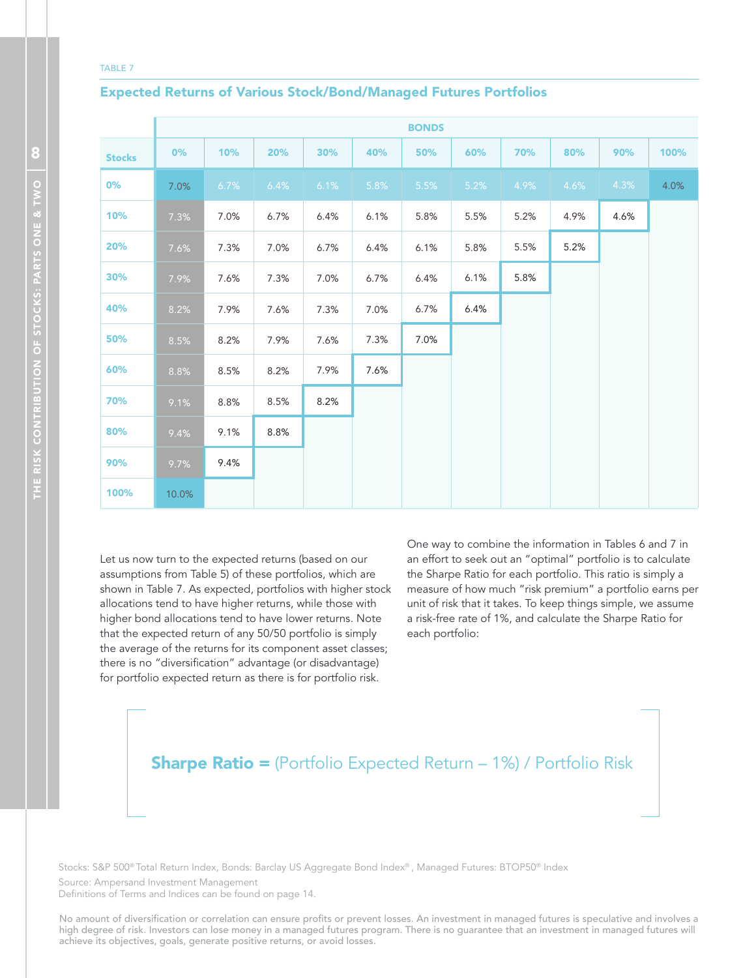#### TABLE 7

#### Expected Returns of Various Stock/Bond/Managed Futures Portfolios

|               |       |      |      |      |      | <b>BONDS</b> |      |      |      |      |      |
|---------------|-------|------|------|------|------|--------------|------|------|------|------|------|
| <b>Stocks</b> | 0%    | 10%  | 20%  | 30%  | 40%  | 50%          | 60%  | 70%  | 80%  | 90%  | 100% |
| 0%            | 7.0%  | 6.7% | 6.4% | 6.1% | 5.8% | 5.5%         | 5.2% | 4.9% | 4.6% | 4.3% | 4.0% |
| 10%           | 7.3%  | 7.0% | 6.7% | 6.4% | 6.1% | 5.8%         | 5.5% | 5.2% | 4.9% | 4.6% |      |
| 20%           | 7.6%  | 7.3% | 7.0% | 6.7% | 6.4% | 6.1%         | 5.8% | 5.5% | 5.2% |      |      |
| 30%           | 7.9%  | 7.6% | 7.3% | 7.0% | 6.7% | 6.4%         | 6.1% | 5.8% |      |      |      |
| 40%           | 8.2%  | 7.9% | 7.6% | 7.3% | 7.0% | 6.7%         | 6.4% |      |      |      |      |
| 50%           | 8.5%  | 8.2% | 7.9% | 7.6% | 7.3% | 7.0%         |      |      |      |      |      |
| 60%           | 8.8%  | 8.5% | 8.2% | 7.9% | 7.6% |              |      |      |      |      |      |
| 70%           | 9.1%  | 8.8% | 8.5% | 8.2% |      |              |      |      |      |      |      |
| 80%           | 9.4%  | 9.1% | 8.8% |      |      |              |      |      |      |      |      |
| 90%           | 9.7%  | 9.4% |      |      |      |              |      |      |      |      |      |
| 100%          | 10.0% |      |      |      |      |              |      |      |      |      |      |

Let us now turn to the expected returns (based on our assumptions from Table 5) of these portfolios, which are shown in Table 7. As expected, portfolios with higher stock allocations tend to have higher returns, while those with higher bond allocations tend to have lower returns. Note that the expected return of any 50/50 portfolio is simply the average of the returns for its component asset classes; there is no "diversification" advantage (or disadvantage) for portfolio expected return as there is for portfolio risk.

One way to combine the information in Tables 6 and 7 in an effort to seek out an "optimal" portfolio is to calculate the Sharpe Ratio for each portfolio. This ratio is simply a measure of how much "risk premium" a portfolio earns per unit of risk that it takes. To keep things simple, we assume a risk-free rate of 1%, and calculate the Sharpe Ratio for each portfolio:

# **Sharpe Ratio =** (Portfolio Expected Return – 1%) / Portfolio Risk

Stocks: S&P 500® Total Return Index, Bonds: Barclay US Aggregate Bond Index® , Managed Futures: BTOP50® Index Source: Ampersand Investment Management

Definitions of Terms and Indices can be found on page 14.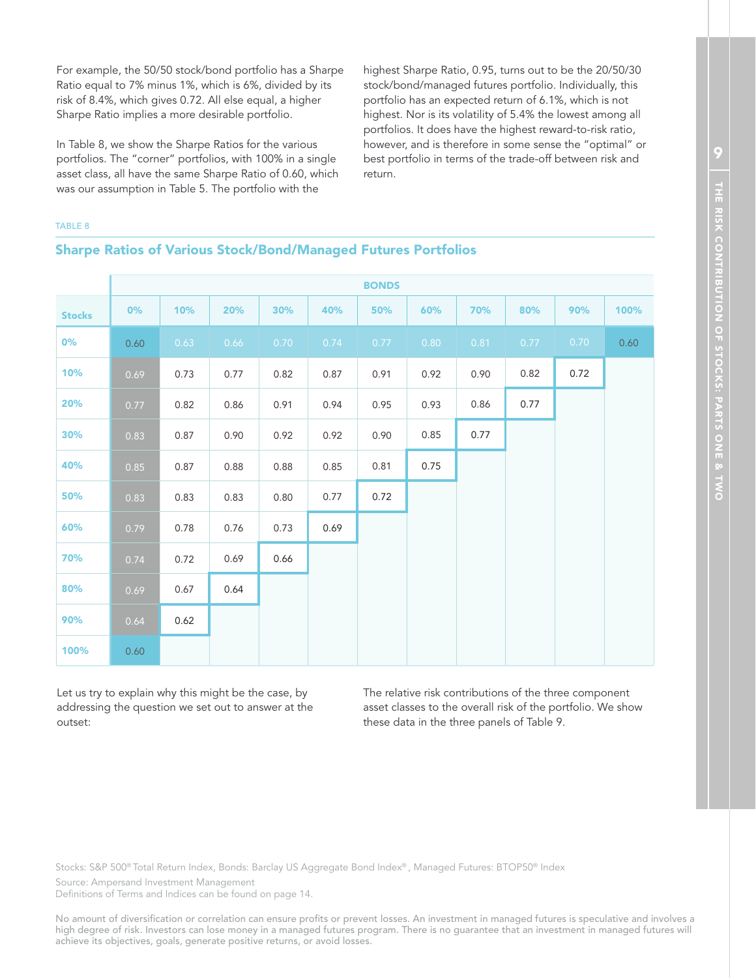For example, the 50/50 stock/bond portfolio has a Sharpe Ratio equal to 7% minus 1%, which is 6%, divided by its risk of 8.4%, which gives 0.72. All else equal, a higher Sharpe Ratio implies a more desirable portfolio.

In Table 8, we show the Sharpe Ratios for the various portfolios. The "corner" portfolios, with 100% in a single asset class, all have the same Sharpe Ratio of 0.60, which was our assumption in Table 5. The portfolio with the

highest Sharpe Ratio, 0.95, turns out to be the 20/50/30 stock/bond/managed futures portfolio. Individually, this portfolio has an expected return of 6.1%, which is not highest. Nor is its volatility of 5.4% the lowest among all portfolios. It does have the highest reward-to-risk ratio, however, and is therefore in some sense the "optimal" or best portfolio in terms of the trade-off between risk and return.

#### TABLE 8

#### Sharpe Ratios of Various Stock/Bond/Managed Futures Portfolios

|               |      |      |      |      |      | <b>BONDS</b> |      |      |      |      |      |
|---------------|------|------|------|------|------|--------------|------|------|------|------|------|
| <b>Stocks</b> | 0%   | 10%  | 20%  | 30%  | 40%  | 50%          | 60%  | 70%  | 80%  | 90%  | 100% |
| 0%            | 0.60 | 0.63 | 0.66 | 0.70 | 0.74 | 0.77         | 0.80 | 0.81 | 0.77 | 0.70 | 0.60 |
| 10%           | 0.69 | 0.73 | 0.77 | 0.82 | 0.87 | 0.91         | 0.92 | 0.90 | 0.82 | 0.72 |      |
| 20%           | 0.77 | 0.82 | 0.86 | 0.91 | 0.94 | 0.95         | 0.93 | 0.86 | 0.77 |      |      |
| 30%           | 0.83 | 0.87 | 0.90 | 0.92 | 0.92 | 0.90         | 0.85 | 0.77 |      |      |      |
| 40%           | 0.85 | 0.87 | 0.88 | 0.88 | 0.85 | 0.81         | 0.75 |      |      |      |      |
| 50%           | 0.83 | 0.83 | 0.83 | 0.80 | 0.77 | 0.72         |      |      |      |      |      |
| 60%           | 0.79 | 0.78 | 0.76 | 0.73 | 0.69 |              |      |      |      |      |      |
| 70%           | 0.74 | 0.72 | 0.69 | 0.66 |      |              |      |      |      |      |      |
| 80%           | 0.69 | 0.67 | 0.64 |      |      |              |      |      |      |      |      |
| 90%           | 0.64 | 0.62 |      |      |      |              |      |      |      |      |      |
| 100%          | 0.60 |      |      |      |      |              |      |      |      |      |      |

Let us try to explain why this might be the case, by addressing the question we set out to answer at the outset:

The relative risk contributions of the three component asset classes to the overall risk of the portfolio. We show these data in the three panels of Table 9.

Stocks: S&P 500® Total Return Index, Bonds: Barclay US Aggregate Bond Index® , Managed Futures: BTOP50® Index

Source: Ampersand Investment Management

Definitions of Terms and Indices can be found on page 14.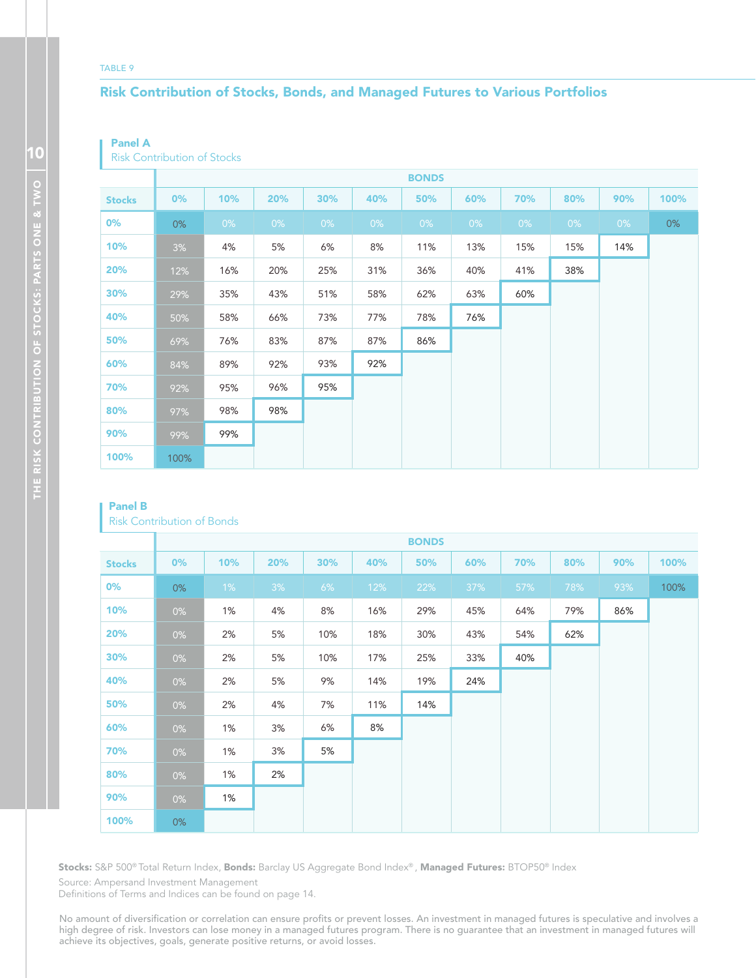#### TABLE 9

### Risk Contribution of Stocks, Bonds, and Managed Futures to Various Portfolios

#### Panel A

Risk Contribution of Stocks

|               |       |       |       |     |     | <b>BONDS</b> |       |       |     |       |      |
|---------------|-------|-------|-------|-----|-----|--------------|-------|-------|-----|-------|------|
| <b>Stocks</b> | 0%    | 10%   | 20%   | 30% | 40% | 50%          | 60%   | 70%   | 80% | 90%   | 100% |
| $0\%$         | $0\%$ | $0\%$ | $0\%$ | 0%  | 0%  | 0%           | $0\%$ | $0\%$ | 0%  | $0\%$ | 0%   |
| 10%           | 3%    | 4%    | 5%    | 6%  | 8%  | 11%          | 13%   | 15%   | 15% | 14%   |      |
| 20%           | 12%   | 16%   | 20%   | 25% | 31% | 36%          | 40%   | 41%   | 38% |       |      |
| 30%           | 29%   | 35%   | 43%   | 51% | 58% | 62%          | 63%   | 60%   |     |       |      |
| 40%           | 50%   | 58%   | 66%   | 73% | 77% | 78%          | 76%   |       |     |       |      |
| 50%           | 69%   | 76%   | 83%   | 87% | 87% | 86%          |       |       |     |       |      |
| 60%           | 84%   | 89%   | 92%   | 93% | 92% |              |       |       |     |       |      |
| 70%           | 92%   | 95%   | 96%   | 95% |     |              |       |       |     |       |      |
| 80%           | 97%   | 98%   | 98%   |     |     |              |       |       |     |       |      |
| 90%           | 99%   | 99%   |       |     |     |              |       |       |     |       |      |
| 100%          | 100%  |       |       |     |     |              |       |       |     |       |      |

#### Panel B

| <b>Risk Contribution of Bonds</b> |  |  |  |  |
|-----------------------------------|--|--|--|--|
|-----------------------------------|--|--|--|--|

|               |       |       |     |     |     | <b>BONDS</b> |        |     |     |     |      |
|---------------|-------|-------|-----|-----|-----|--------------|--------|-----|-----|-----|------|
| <b>Stocks</b> | $0\%$ | 10%   | 20% | 30% | 40% | 50%          | 60%    | 70% | 80% | 90% | 100% |
| $0\%$         | $0\%$ | $1\%$ | 3%  | 6%  | 12% | 22%          | $37\%$ | 57% | 78% | 93% | 100% |
| 10%           | $0\%$ | 1%    | 4%  | 8%  | 16% | 29%          | 45%    | 64% | 79% | 86% |      |
| 20%           | $0\%$ | 2%    | 5%  | 10% | 18% | 30%          | 43%    | 54% | 62% |     |      |
| 30%           | $0\%$ | 2%    | 5%  | 10% | 17% | 25%          | 33%    | 40% |     |     |      |
| 40%           | $0\%$ | 2%    | 5%  | 9%  | 14% | 19%          | 24%    |     |     |     |      |
| 50%           | $0\%$ | 2%    | 4%  | 7%  | 11% | 14%          |        |     |     |     |      |
| 60%           | $0\%$ | 1%    | 3%  | 6%  | 8%  |              |        |     |     |     |      |
| 70%           | $0\%$ | 1%    | 3%  | 5%  |     |              |        |     |     |     |      |
| 80%           | $0\%$ | 1%    | 2%  |     |     |              |        |     |     |     |      |
| 90%           | $0\%$ | 1%    |     |     |     |              |        |     |     |     |      |
| 100%          | $0\%$ |       |     |     |     |              |        |     |     |     |      |

**Stocks:** S&P 500® Total Return Index, **Bonds:** Barclay US Aggregate Bond Index® , **Managed Futures:** BTOP50® Index

Source: Ampersand Investment Management

Definitions of Terms and Indices can be found on page 14.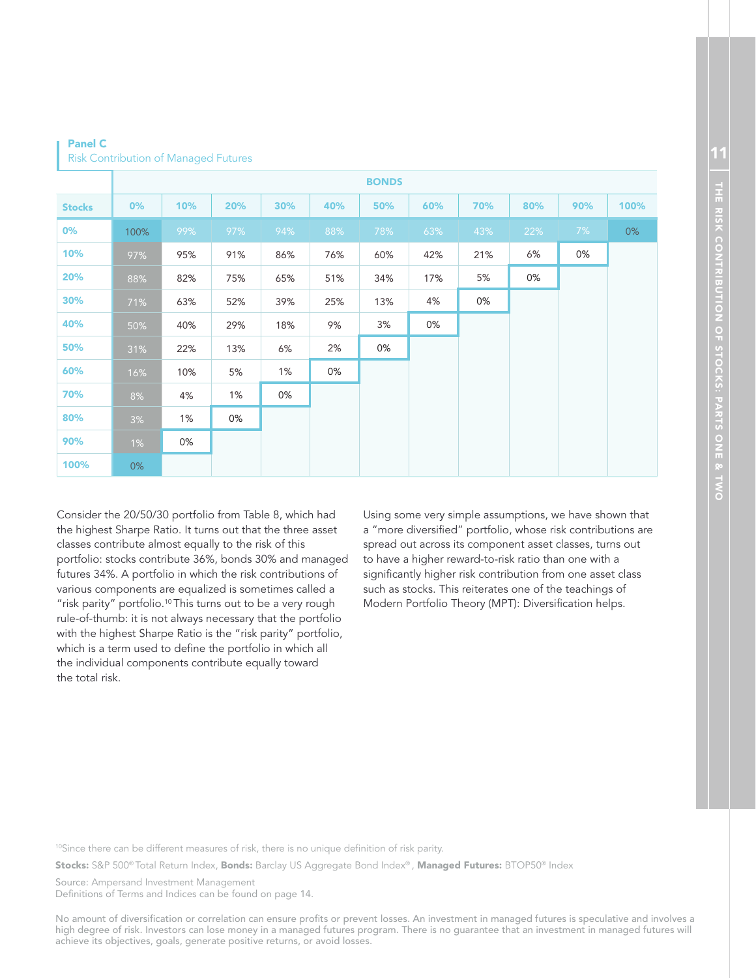|               |       |     |     |     |     | <b>BONDS</b> |     |     |     |     |      |
|---------------|-------|-----|-----|-----|-----|--------------|-----|-----|-----|-----|------|
| <b>Stocks</b> | 0%    | 10% | 20% | 30% | 40% | 50%          | 60% | 70% | 80% | 90% | 100% |
| 0%            | 100%  | 99% | 97% | 94% | 88% | 78%          | 63% | 43% | 22% | 7%  | 0%   |
| 10%           | 97%   | 95% | 91% | 86% | 76% | 60%          | 42% | 21% | 6%  | 0%  |      |
| 20%           | 88%   | 82% | 75% | 65% | 51% | 34%          | 17% | 5%  | 0%  |     |      |
| 30%           | 71%   | 63% | 52% | 39% | 25% | 13%          | 4%  | 0%  |     |     |      |
| 40%           | 50%   | 40% | 29% | 18% | 9%  | 3%           | 0%  |     |     |     |      |
| 50%           | 31%   | 22% | 13% | 6%  | 2%  | 0%           |     |     |     |     |      |
| 60%           | 16%   | 10% | 5%  | 1%  | 0%  |              |     |     |     |     |      |
| 70%           | 8%    | 4%  | 1%  | 0%  |     |              |     |     |     |     |      |
| 80%           | 3%    | 1%  | 0%  |     |     |              |     |     |     |     |      |
| 90%           | $1\%$ | 0%  |     |     |     |              |     |     |     |     |      |
| 100%          | $0\%$ |     |     |     |     |              |     |     |     |     |      |

Panel C Risk Contribution of Managed Futures

Consider the 20/50/30 portfolio from Table 8, which had the highest Sharpe Ratio. It turns out that the three asset classes contribute almost equally to the risk of this portfolio: stocks contribute 36%, bonds 30% and managed futures 34%. A portfolio in which the risk contributions of various components are equalized is sometimes called a "risk parity" portfolio.<sup>10</sup> This turns out to be a very rough rule-of-thumb: it is not always necessary that the portfolio with the highest Sharpe Ratio is the "risk parity" portfolio, which is a term used to define the portfolio in which all the individual components contribute equally toward the total risk.

Using some very simple assumptions, we have shown that a "more diversified" portfolio, whose risk contributions are spread out across its component asset classes, turns out to have a higher reward-to-risk ratio than one with a significantly higher risk contribution from one asset class such as stocks. This reiterates one of the teachings of Modern Portfolio Theory (MPT): Diversification helps.

10Since there can be different measures of risk, there is no unique definition of risk parity.

**Stocks:** S&P 500® Total Return Index, **Bonds:** Barclay US Aggregate Bond Index®, **Managed Futures:** BTOP50® Index

Source: Ampersand Investment Management Definitions of Terms and Indices can be found on page 14.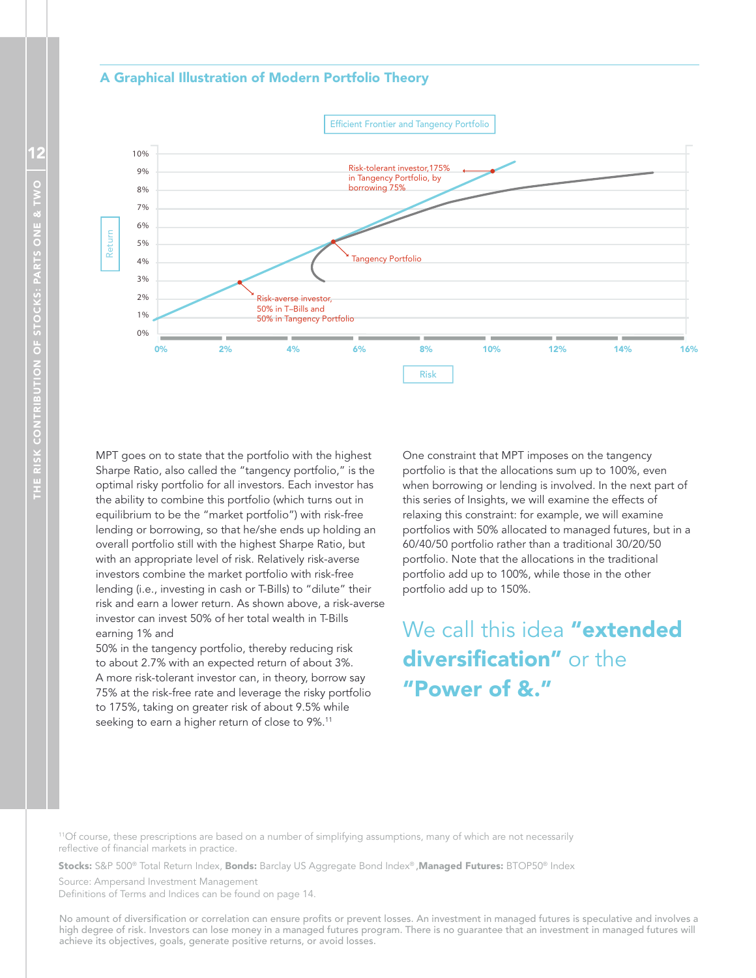#### A Graphical Illustration of Modern Portfolio Theory



MPT goes on to state that the portfolio with the highest Sharpe Ratio, also called the "tangency portfolio," is the optimal risky portfolio for all investors. Each investor has the ability to combine this portfolio (which turns out in equilibrium to be the "market portfolio") with risk-free lending or borrowing, so that he/she ends up holding an overall portfolio still with the highest Sharpe Ratio, but with an appropriate level of risk. Relatively risk-averse investors combine the market portfolio with risk-free lending (i.e., investing in cash or T-Bills) to "dilute" their risk and earn a lower return. As shown above, a risk-averse investor can invest 50% of her total wealth in T-Bills earning 1% and

50% in the tangency portfolio, thereby reducing risk to about 2.7% with an expected return of about 3%. A more risk-tolerant investor can, in theory, borrow say 75% at the risk-free rate and leverage the risky portfolio to 175%, taking on greater risk of about 9.5% while seeking to earn a higher return of close to 9%.<sup>11</sup>

One constraint that MPT imposes on the tangency portfolio is that the allocations sum up to 100%, even when borrowing or lending is involved. In the next part of this series of Insights, we will examine the effects of relaxing this constraint: for example, we will examine portfolios with 50% allocated to managed futures, but in a 60/40/50 portfolio rather than a traditional 30/20/50 portfolio. Note that the allocations in the traditional portfolio add up to 100%, while those in the other portfolio add up to 150%.

We call this idea "extended diversification" or the "Power of &."

<sup>11</sup>Of course, these prescriptions are based on a number of simplifying assumptions, many of which are not necessarily reflective of financial markets in practice.

**Stocks:** S&P 500® Total Return Index, **Bonds:** Barclay US Aggregate Bond Index® **,Managed Futures:** BTOP50® Index

Source: Ampersand Investment Management Definitions of Terms and Indices can be found on page 14.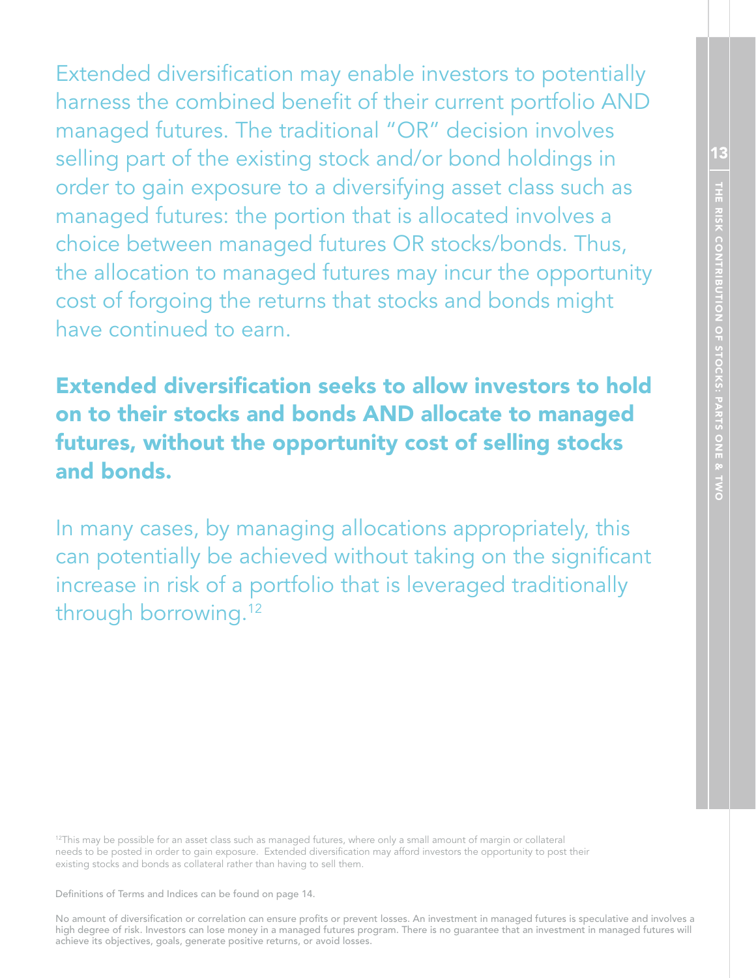13THE RISK CONTRIBUTION OF STOCKS: PARTS ONE & TWO THE RISK CONTRIBUTION OF STOCKS: PARTS ONE & TWO

Extended diversification may enable investors to potentially harness the combined benefit of their current portfolio AND managed futures. The traditional "OR" decision involves selling part of the existing stock and/or bond holdings in order to gain exposure to a diversifying asset class such as managed futures: the portion that is allocated involves a choice between managed futures OR stocks/bonds. Thus, the allocation to managed futures may incur the opportunity cost of forgoing the returns that stocks and bonds might have continued to earn.

Extended diversification seeks to allow investors to hold on to their stocks and bonds AND allocate to managed futures, without the opportunity cost of selling stocks and bonds.

In many cases, by managing allocations appropriately, this can potentially be achieved without taking on the significant increase in risk of a portfolio that is leveraged traditionally through borrowing.<sup>12</sup>

 $12$ This may be possible for an asset class such as managed futures, where only a small amount of margin or collateral needs to be posted in order to gain exposure. Extended diversification may afford investors the opportunity to post their existing stocks and bonds as collateral rather than having to sell them.

Definitions of Terms and Indices can be found on page 14.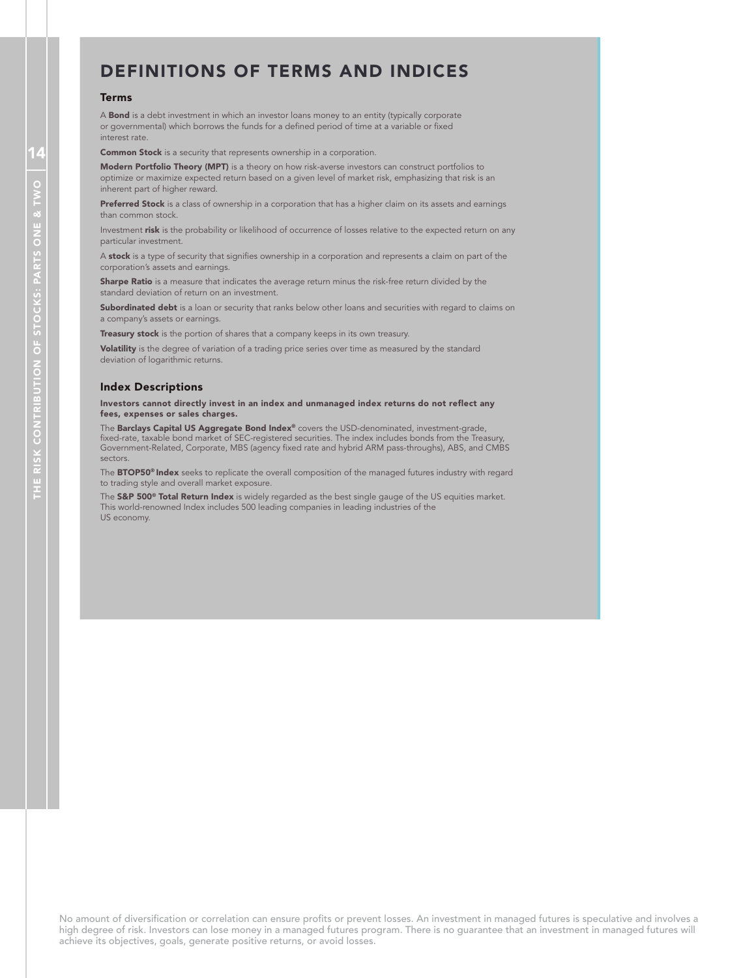# DEFINITIONS OF TERMS AND INDICES

#### Terms

A **Bond** is a debt investment in which an investor loans money to an entity (typically corporate or governmental) which borrows the funds for a defined period of time at a variable or fixed interest rate.

**Common Stock** is a security that represents ownership in a corporation.

Modern Portfolio Theory (MPT) is a theory on how risk-averse investors can construct portfolios to optimize or maximize expected return based on a given level of market risk, emphasizing that risk is an inherent part of higher reward.

Preferred Stock is a class of ownership in a corporation that has a higher claim on its assets and earnings than common stock.

Investment risk is the probability or likelihood of occurrence of losses relative to the expected return on any particular investment.

A stock is a type of security that signifies ownership in a corporation and represents a claim on part of the corporation's assets and earnings.

Sharpe Ratio is a measure that indicates the average return minus the risk-free return divided by the standard deviation of return on an investment.

Subordinated debt is a loan or security that ranks below other loans and securities with regard to claims on a company's assets or earnings.

Treasury stock is the portion of shares that a company keeps in its own treasury.

Volatility is the degree of variation of a trading price series over time as measured by the standard deviation of logarithmic returns.

#### Index Descriptions

Investors cannot directly invest in an index and unmanaged index returns do not reflect any fees, expenses or sales charges.

The **Barclays Capital US Aggregate Bond Index®** covers the USD-denominated, investment-grade, fixed-rate, taxable bond market of SEC-registered securities. The index includes bonds from the Treasury, Government-Related, Corporate, MBS (agency fixed rate and hybrid ARM pass-throughs), ABS, and CMBS sectors.

The **BTOP50<sup>®</sup> Index** seeks to replicate the overall composition of the managed futures industry with regard to trading style and overall market exposure.

The S&P 500<sup>®</sup> Total Return Index is widely regarded as the best single gauge of the US equities market. This world-renowned Index includes 500 leading companies in leading industries of the US economy.